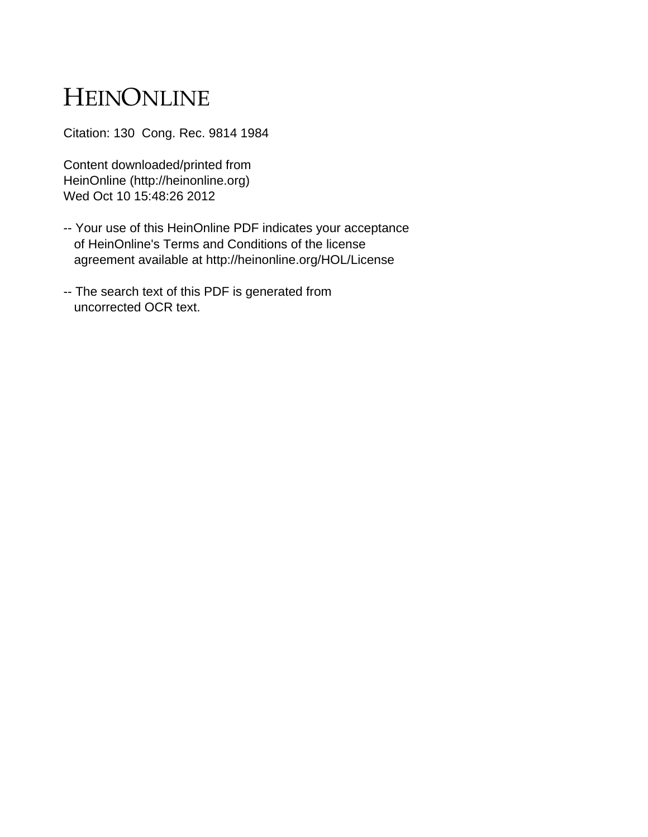# HEINONLINE

Citation: 130 Cong. Rec. 9814 1984

Content downloaded/printed from HeinOnline (http://heinonline.org) Wed Oct 10 15:48:26 2012

- -- Your use of this HeinOnline PDF indicates your acceptance of HeinOnline's Terms and Conditions of the license agreement available at http://heinonline.org/HOL/License
- -- The search text of this PDF is generated from uncorrected OCR text.